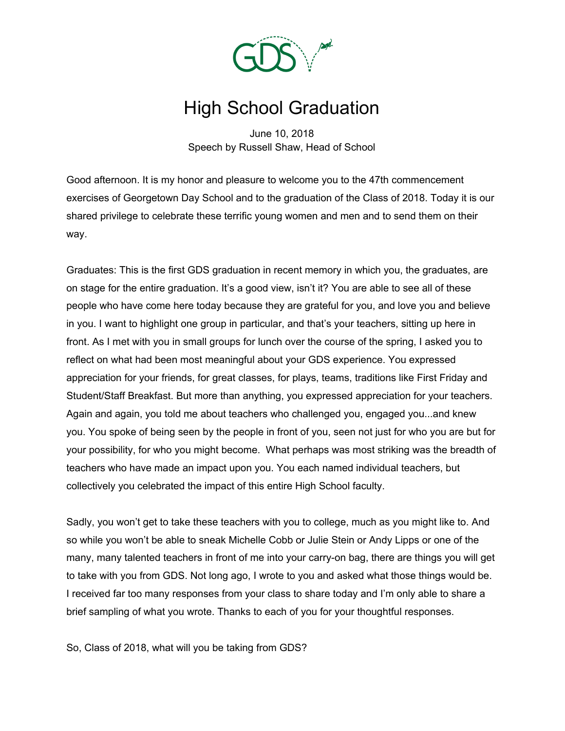

# High School Graduation

June 10, 2018 Speech by Russell Shaw, Head of School

Good afternoon. It is my honor and pleasure to welcome you to the 47th commencement exercises of Georgetown Day School and to the graduation of the Class of 2018. Today it is our shared privilege to celebrate these terrific young women and men and to send them on their way.

Graduates: This is the first GDS graduation in recent memory in which you, the graduates, are on stage for the entire graduation. It's a good view, isn't it? You are able to see all of these people who have come here today because they are grateful for you, and love you and believe in you. I want to highlight one group in particular, and that's your teachers, sitting up here in front. As I met with you in small groups for lunch over the course of the spring, I asked you to reflect on what had been most meaningful about your GDS experience. You expressed appreciation for your friends, for great classes, for plays, teams, traditions like First Friday and Student/Staff Breakfast. But more than anything, you expressed appreciation for your teachers. Again and again, you told me about teachers who challenged you, engaged you...and knew you. You spoke of being seen by the people in front of you, seen not just for who you are but for your possibility, for who you might become. What perhaps was most striking was the breadth of teachers who have made an impact upon you. You each named individual teachers, but collectively you celebrated the impact of this entire High School faculty.

Sadly, you won't get to take these teachers with you to college, much as you might like to. And so while you won't be able to sneak Michelle Cobb or Julie Stein or Andy Lipps or one of the many, many talented teachers in front of me into your carry-on bag, there are things you will get to take with you from GDS. Not long ago, I wrote to you and asked what those things would be. I received far too many responses from your class to share today and I'm only able to share a brief sampling of what you wrote. Thanks to each of you for your thoughtful responses.

So, Class of 2018, what will you be taking from GDS?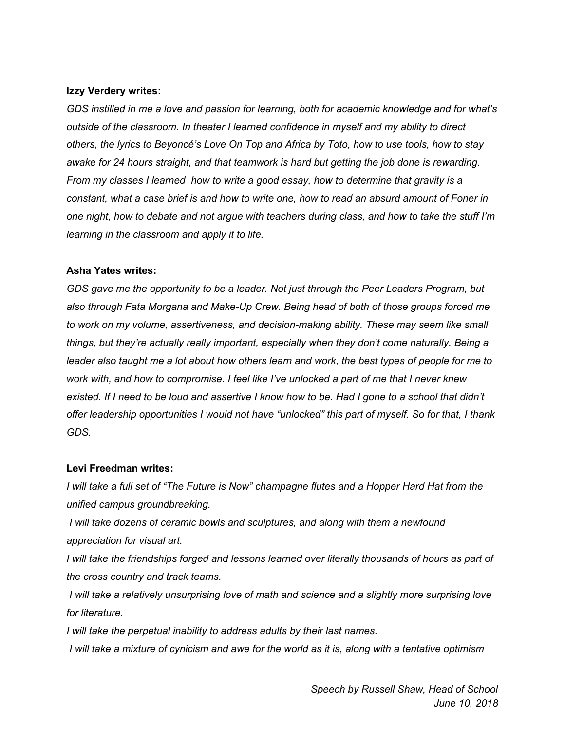#### **Izzy Verdery writes:**

*GDS instilled in me a love and passion for learning, both for academic knowledge and for what's outside of the classroom. In theater I learned confidence in myself and my ability to direct* others, the lyrics to Beyoncé's Love On Top and Africa by Toto, how to use tools, how to stay *awake for 24 hours straight, and that teamwork is hard but getting the job done is rewarding. From my classes I learned how to write a good essay, how to determine that gravity is a* constant, what a case brief is and how to write one, how to read an absurd amount of Foner in one night, how to debate and not argue with teachers during class, and how to take the stuff I'm *learning in the classroom and apply it to life.*

## **Asha Yates writes:**

*GDS gave me the opportunity to be a leader. Not just through the Peer Leaders Program, but also through Fata Morgana and Make-Up Crew. Being head of both of those groups forced me to work on my volume, assertiveness, and decision-making ability. These may seem like small things, but they're actually really important, especially when they don't come naturally. Being a* leader also taught me a lot about how others learn and work, the best types of people for me to *work with, and how to compromise. I feel like I've unlocked a part of me that I never knew* existed. If I need to be loud and assertive I know how to be. Had I gone to a school that didn't *offer leadership opportunities I would not have "unlocked" this part of myself. So for that, I thank GDS.*

#### **Levi Freedman writes:**

I will take a full set of "The Future is Now" champagne flutes and a Hopper Hard Hat from the *unified campus groundbreaking.*

*I will take dozens of ceramic bowls and sculptures, and along with them a newfound appreciation for visual art.*

*I will take the friendships forged and lessons learned over literally thousands of hours as part of the cross country and track teams.*

*I will take a relatively unsurprising love of math and science and a slightly more surprising love for literature.*

*I will take the perpetual inability to address adults by their last names.*

I will take a mixture of cynicism and awe for the world as it is, along with a tentative optimism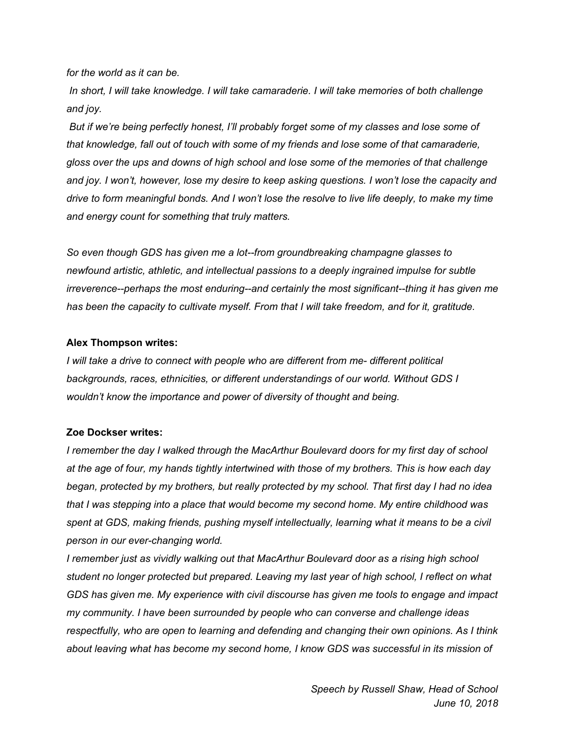*for the world as it can be.*

*In short, I will take knowledge. I will take camaraderie. I will take memories of both challenge and joy.*

*But if we're being perfectly honest, I'll probably forget some of my classes and lose some of that knowledge, fall out of touch with some of my friends and lose some of that camaraderie, gloss over the ups and downs of high school and lose some of the memories of that challenge and joy. I won't, however, lose my desire to keep asking questions. I won't lose the capacity and* drive to form meaningful bonds. And I won't lose the resolve to live life deeply, to make my time *and energy count for something that truly matters.*

*So even though GDS has given me a lot--from groundbreaking champagne glasses to newfound artistic, athletic, and intellectual passions to a deeply ingrained impulse for subtle irreverence--perhaps the most enduring--and certainly the most significant--thing it has given me has been the capacity to cultivate myself. From that I will take freedom, and for it, gratitude.*

# **Alex Thompson writes:**

*I will take a drive to connect with people who are different from me- different political backgrounds, races, ethnicities, or different understandings of our world. Without GDS I wouldn't know the importance and power of diversity of thought and being.*

# **Zoe Dockser writes:**

*I remember the day I walked through the MacArthur Boulevard doors for my first day of school* at the age of four, my hands tightly intertwined with those of my brothers. This is how each day *began, protected by my brothers, but really protected by my school. That first day I had no idea that I was stepping into a place that would become my second home. My entire childhood was spent at GDS, making friends, pushing myself intellectually, learning what it means to be a civil person in our ever-changing world.*

*I remember just as vividly walking out that MacArthur Boulevard door as a rising high school student no longer protected but prepared. Leaving my last year of high school, I reflect on what GDS has given me. My experience with civil discourse has given me tools to engage and impact my community. I have been surrounded by people who can converse and challenge ideas respectfully, who are open to learning and defending and changing their own opinions. As I think about leaving what has become my second home, I know GDS was successful in its mission of*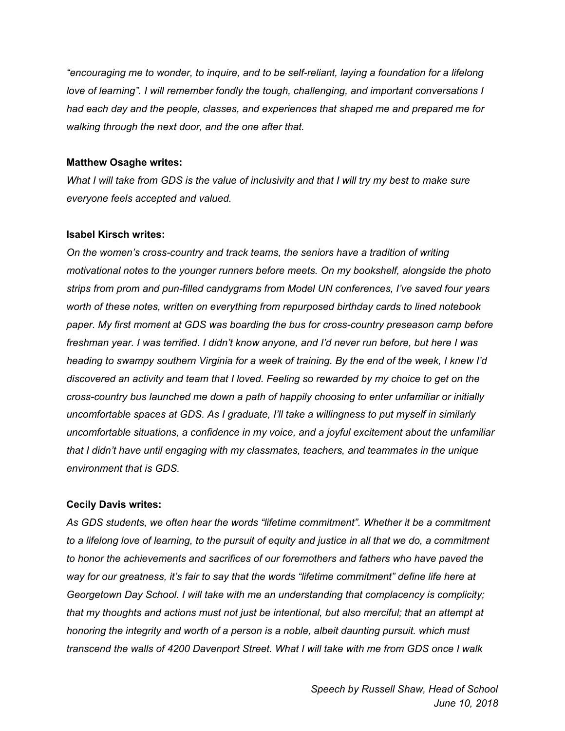*"encouraging me to wonder, to inquire, and to be self-reliant, laying a foundation for a lifelong love of learning". I will remember fondly the tough, challenging, and important conversations I had each day and the people, classes, and experiences that shaped me and prepared me for walking through the next door, and the one after that.*

## **Matthew Osaghe writes:**

What I will take from GDS is the value of inclusivity and that I will try my best to make sure *everyone feels accepted and valued.*

## **Isabel Kirsch writes:**

*On the women's cross-country and track teams, the seniors have a tradition of writing motivational notes to the younger runners before meets. On my bookshelf, alongside the photo strips from prom and pun-filled candygrams from Model UN conferences, I've saved four years worth of these notes, written on everything from repurposed birthday cards to lined notebook paper. My first moment at GDS was boarding the bus for cross-country preseason camp before freshman year. I was terrified. I didn't know anyone, and I'd never run before, but here I was* heading to swampy southern Virginia for a week of training. By the end of the week, I knew I'd *discovered an activity and team that I loved. Feeling so rewarded by my choice to get on the cross-country bus launched me down a path of happily choosing to enter unfamiliar or initially uncomfortable spaces at GDS. As I graduate, I'll take a willingness to put myself in similarly uncomfortable situations, a confidence in my voice, and a joyful excitement about the unfamiliar that I didn't have until engaging with my classmates, teachers, and teammates in the unique environment that is GDS.*

# **Cecily Davis writes:**

*As GDS students, we often hear the words "lifetime commitment". Whether it be a commitment* to a lifelong love of learning, to the pursuit of equity and justice in all that we do, a commitment *to honor the achievements and sacrifices of our foremothers and fathers who have paved the way for our greatness, it's fair to say that the words "lifetime commitment" define life here at Georgetown Day School. I will take with me an understanding that complacency is complicity; that my thoughts and actions must not just be intentional, but also merciful; that an attempt at honoring the integrity and worth of a person is a noble, albeit daunting pursuit. which must transcend the walls of 4200 Davenport Street. What I will take with me from GDS once I walk*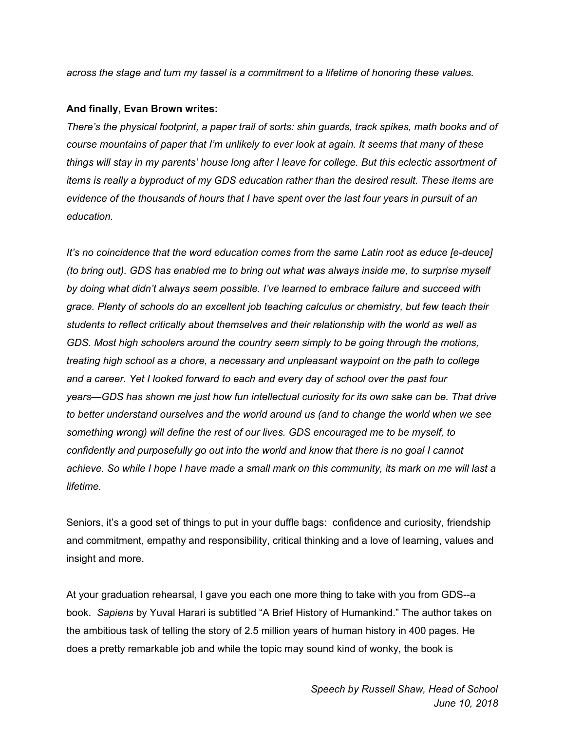*across the stage and turn my tassel is a commitment to a lifetime of honoring these values.*

#### **And finally, Evan Brown writes:**

*There's the physical footprint, a paper trail of sorts: shin guards, track spikes, math books and of course mountains of paper that I'm unlikely to ever look at again. It seems that many of these* things will stay in my parents' house long after I leave for college. But this eclectic assortment of *items is really a byproduct of my GDS education rather than the desired result. These items are* evidence of the thousands of hours that I have spent over the last four years in pursuit of an *education.*

*It's no coincidence that the word education comes from the same Latin root as educe [e-deuce] (to bring out). GDS has enabled me to bring out what was always inside me, to surprise myself by doing what didn't always seem possible. I've learned to embrace failure and succeed with grace. Plenty of schools do an excellent job teaching calculus or chemistry, but few teach their students to reflect critically about themselves and their relationship with the world as well as GDS. Most high schoolers around the country seem simply to be going through the motions, treating high school as a chore, a necessary and unpleasant waypoint on the path to college and a career. Yet I looked forward to each and every day of school over the past four years—GDS has shown me just how fun intellectual curiosity for its own sake can be. That drive to better understand ourselves and the world around us (and to change the world when we see something wrong) will define the rest of our lives. GDS encouraged me to be myself, to confidently and purposefully go out into the world and know that there is no goal I cannot* achieve. So while I hope I have made a small mark on this community, its mark on me will last a *lifetime.*

Seniors, it's a good set of things to put in your duffle bags: confidence and curiosity, friendship and commitment, empathy and responsibility, critical thinking and a love of learning, values and insight and more.

At your graduation rehearsal, I gave you each one more thing to take with you from GDS--a book. *Sapiens* by Yuval Harari is subtitled "A Brief History of Humankind." The author takes on the ambitious task of telling the story of 2.5 million years of human history in 400 pages. He does a pretty remarkable job and while the topic may sound kind of wonky, the book is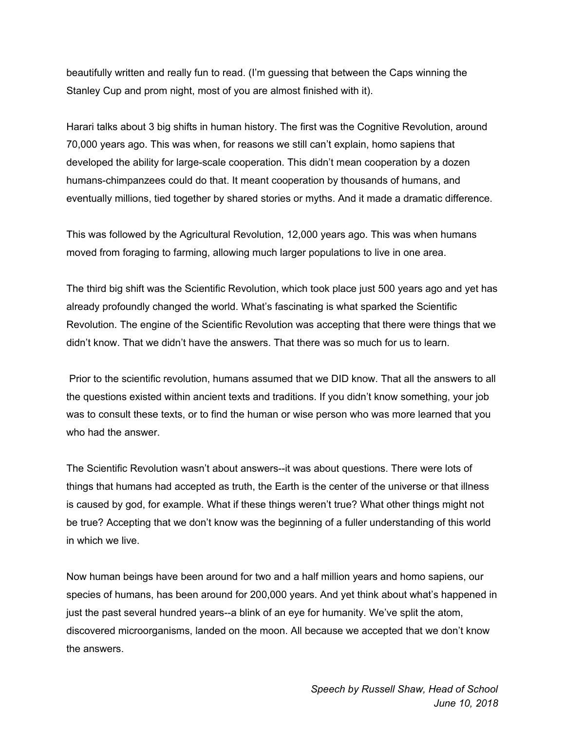beautifully written and really fun to read. (I'm guessing that between the Caps winning the Stanley Cup and prom night, most of you are almost finished with it).

Harari talks about 3 big shifts in human history. The first was the Cognitive Revolution, around 70,000 years ago. This was when, for reasons we still can't explain, homo sapiens that developed the ability for large-scale cooperation. This didn't mean cooperation by a dozen humans-chimpanzees could do that. It meant cooperation by thousands of humans, and eventually millions, tied together by shared stories or myths. And it made a dramatic difference.

This was followed by the Agricultural Revolution, 12,000 years ago. This was when humans moved from foraging to farming, allowing much larger populations to live in one area.

The third big shift was the Scientific Revolution, which took place just 500 years ago and yet has already profoundly changed the world. What's fascinating is what sparked the Scientific Revolution. The engine of the Scientific Revolution was accepting that there were things that we didn't know. That we didn't have the answers. That there was so much for us to learn.

Prior to the scientific revolution, humans assumed that we DID know. That all the answers to all the questions existed within ancient texts and traditions. If you didn't know something, your job was to consult these texts, or to find the human or wise person who was more learned that you who had the answer.

The Scientific Revolution wasn't about answers--it was about questions. There were lots of things that humans had accepted as truth, the Earth is the center of the universe or that illness is caused by god, for example. What if these things weren't true? What other things might not be true? Accepting that we don't know was the beginning of a fuller understanding of this world in which we live.

Now human beings have been around for two and a half million years and homo sapiens, our species of humans, has been around for 200,000 years. And yet think about what's happened in just the past several hundred years--a blink of an eye for humanity. We've split the atom, discovered microorganisms, landed on the moon. All because we accepted that we don't know the answers.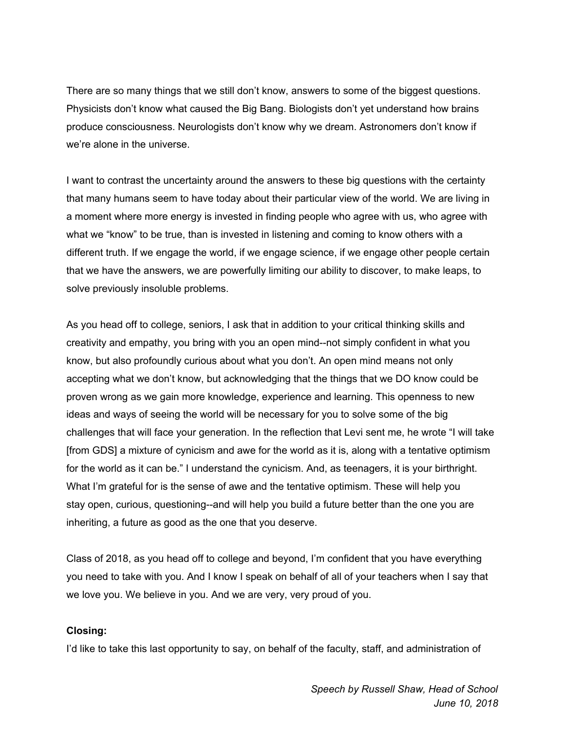There are so many things that we still don't know, answers to some of the biggest questions. Physicists don't know what caused the Big Bang. Biologists don't yet understand how brains produce consciousness. Neurologists don't know why we dream. Astronomers don't know if we're alone in the universe.

I want to contrast the uncertainty around the answers to these big questions with the certainty that many humans seem to have today about their particular view of the world. We are living in a moment where more energy is invested in finding people who agree with us, who agree with what we "know" to be true, than is invested in listening and coming to know others with a different truth. If we engage the world, if we engage science, if we engage other people certain that we have the answers, we are powerfully limiting our ability to discover, to make leaps, to solve previously insoluble problems.

As you head off to college, seniors, I ask that in addition to your critical thinking skills and creativity and empathy, you bring with you an open mind--not simply confident in what you know, but also profoundly curious about what you don't. An open mind means not only accepting what we don't know, but acknowledging that the things that we DO know could be proven wrong as we gain more knowledge, experience and learning. This openness to new ideas and ways of seeing the world will be necessary for you to solve some of the big challenges that will face your generation. In the reflection that Levi sent me, he wrote "I will take [from GDS] a mixture of cynicism and awe for the world as it is, along with a tentative optimism for the world as it can be." I understand the cynicism. And, as teenagers, it is your birthright. What I'm grateful for is the sense of awe and the tentative optimism. These will help you stay open, curious, questioning--and will help you build a future better than the one you are inheriting, a future as good as the one that you deserve.

Class of 2018, as you head off to college and beyond, I'm confident that you have everything you need to take with you. And I know I speak on behalf of all of your teachers when I say that we love you. We believe in you. And we are very, very proud of you.

#### **Closing:**

I'd like to take this last opportunity to say, on behalf of the faculty, staff, and administration of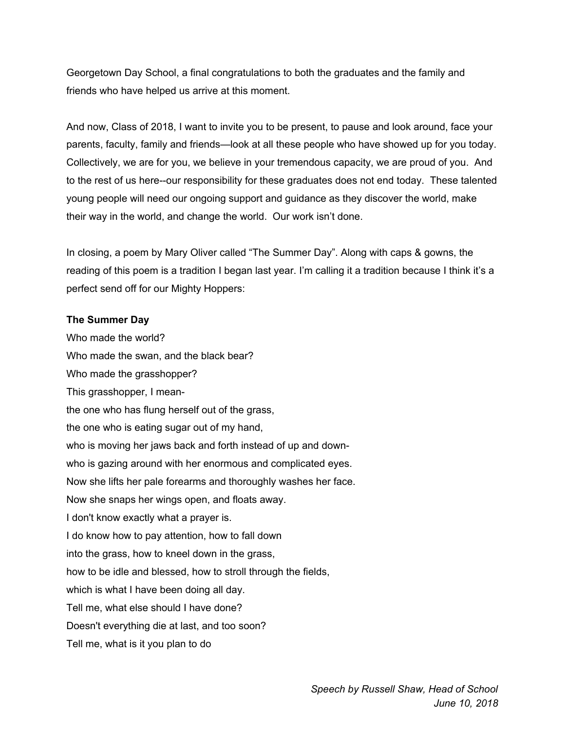Georgetown Day School, a final congratulations to both the graduates and the family and friends who have helped us arrive at this moment.

And now, Class of 2018, I want to invite you to be present, to pause and look around, face your parents, faculty, family and friends—look at all these people who have showed up for you today. Collectively, we are for you, we believe in your tremendous capacity, we are proud of you. And to the rest of us here--our responsibility for these graduates does not end today. These talented young people will need our ongoing support and guidance as they discover the world, make their way in the world, and change the world. Our work isn't done.

In closing, a poem by Mary Oliver called "The Summer Day". Along with caps & gowns, the reading of this poem is a tradition I began last year. I'm calling it a tradition because I think it's a perfect send off for our Mighty Hoppers:

#### **The Summer Day**

Who made the world? Who made the swan, and the black bear? Who made the grasshopper? This grasshopper, I meanthe one who has flung herself out of the grass, the one who is eating sugar out of my hand, who is moving her jaws back and forth instead of up and downwho is gazing around with her enormous and complicated eyes. Now she lifts her pale forearms and thoroughly washes her face. Now she snaps her wings open, and floats away. I don't know exactly what a prayer is. I do know how to pay attention, how to fall down into the grass, how to kneel down in the grass, how to be idle and blessed, how to stroll through the fields, which is what I have been doing all day. Tell me, what else should I have done? Doesn't everything die at last, and too soon? Tell me, what is it you plan to do